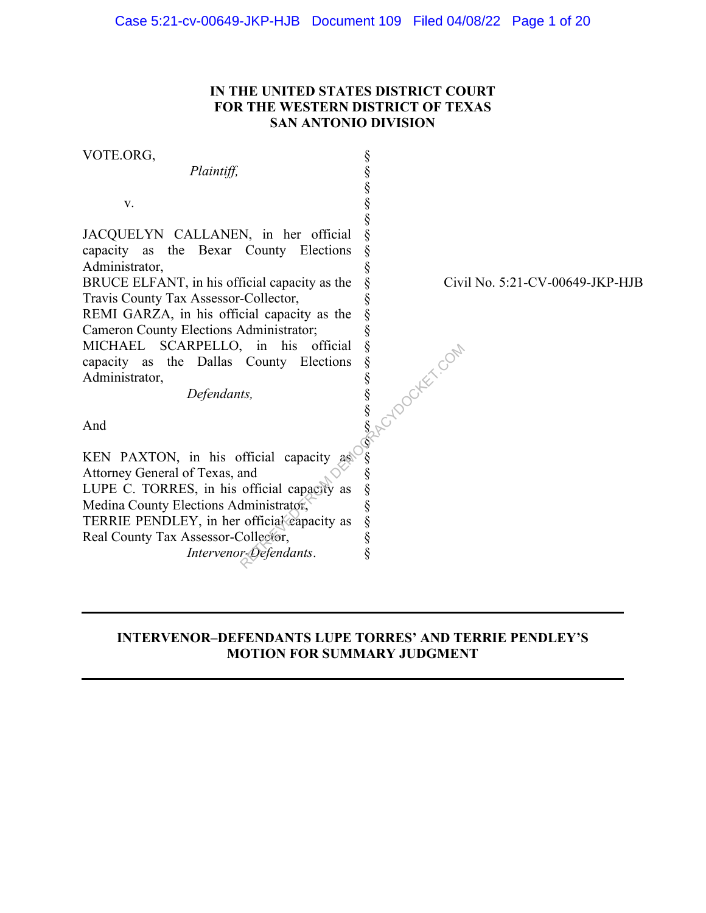## **IN THE UNITED STATES DISTRICT COURT FOR THE WESTERN DISTRICT OF TEXAS SAN ANTONIO DIVISION**

VOTE.ORG, *Plaintiff,* v. JACQUELYN CALLANEN, in her official capacity as the Bexar County Elections Administrator, BRUCE ELFANT, in his official capacity as the Travis County Tax Assessor-Collector, REMI GARZA, in his official capacity as the Cameron County Elections Administrator; MICHAEL SCARPELLO, in his official capacity as the Dallas County Elections Administrator, *Defendants,*  And KEN PAXTON, in his official capacity as Attorney General of Texas, and LUPE C. TORRES, in his official capacity as Medina County Elections Administrator, TERRIE PENDLEY, in her official capacity as Real County Tax Assessor-Collector, § § § § § § § § § § § § § § § § § § § § § § § § § § Reflections of the set of the set of the set of the set of the set of the set of the set of the set of the set of the set of the set of the set of the set of the set of the set of the set of the set of the set of the set

*Intervenor-Defendants*.

Civil No. 5:21-CV-00649-JKP-HJB

## **INTERVENOR–DEFENDANTS LUPE TORRES' AND TERRIE PENDLEY'S MOTION FOR SUMMARY JUDGMENT**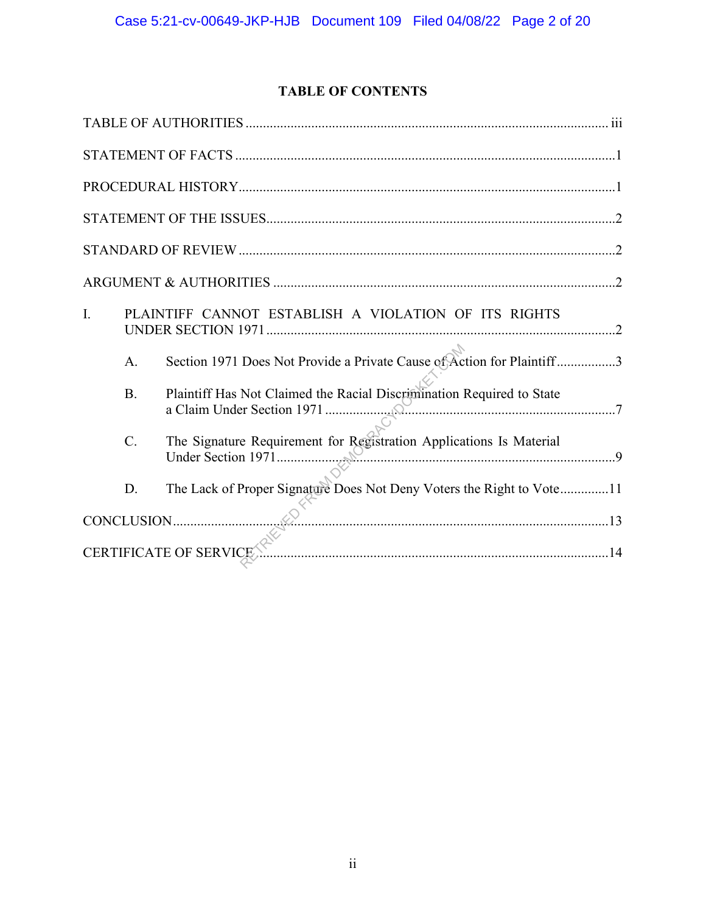## **TABLE OF CONTENTS**

| I.                     |                  | PLAINTIFF CANNOT ESTABLISH A VIOLATION OF ITS RIGHTS                   |  |  |
|------------------------|------------------|------------------------------------------------------------------------|--|--|
|                        | A.               | Section 1971 Does Not Provide a Private Cause of Action for Plaintiff3 |  |  |
|                        | <b>B.</b>        | Plaintiff Has Not Claimed the Racial Discrimination Required to State  |  |  |
|                        | $\overline{C}$ . | The Signature Requirement for Registration Applications Is Material    |  |  |
|                        | D.               | The Lack of Proper Signature Does Not Deny Voters the Right to Vote11  |  |  |
|                        |                  | $CONCLUSION.$ 13                                                       |  |  |
| CERTIFICATE OF SERVICE |                  |                                                                        |  |  |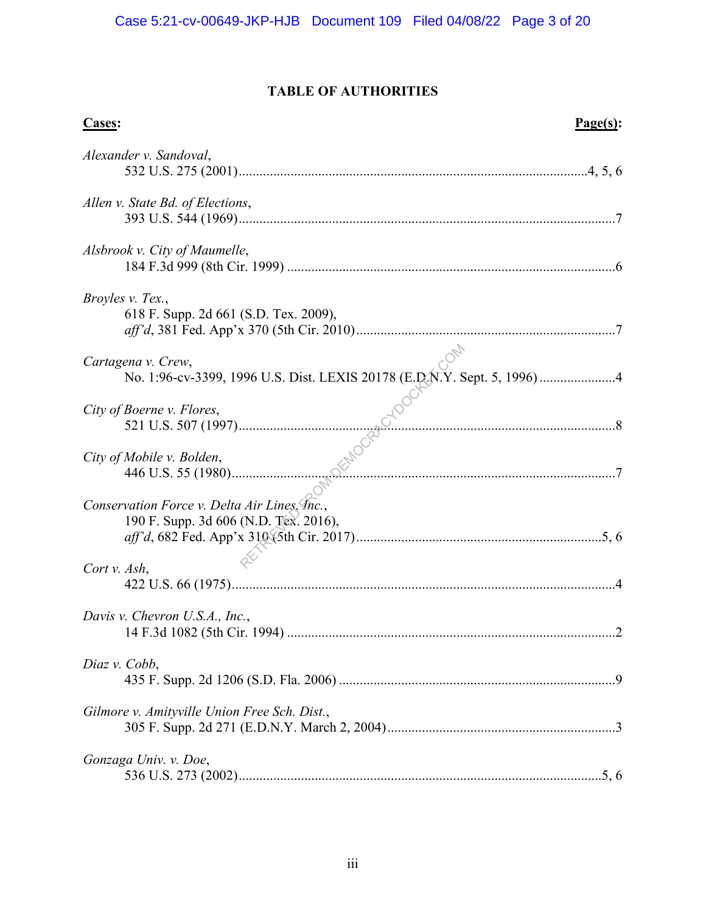## **TABLE OF AUTHORITIES**

| <b>Cases:</b>                                                                                  | Page(s): |
|------------------------------------------------------------------------------------------------|----------|
| Alexander v. Sandoval,                                                                         |          |
| Allen v. State Bd. of Elections,                                                               |          |
| Alsbrook v. City of Maumelle,                                                                  |          |
| Broyles v. Tex.,<br>618 F. Supp. 2d 661 (S.D. Tex. 2009),                                      |          |
| Cartagena v. Crew,<br>No. 1:96-cv-3399, 1996 U.S. Dist. LEXIS 20178 (E.D.N.Y. Sept. 5, 1996) 4 |          |
| City of Boerne v. Flores,                                                                      |          |
| City of Mobile v. Bolden,                                                                      |          |
| Conservation Force v. Delta Air Lines, Inc.,<br>190 F. Supp. 3d 606 (N.D. Tex. 2016),          |          |
| Cort v. Ash,                                                                                   |          |
| Davis v. Chevron U.S.A., Inc.,                                                                 |          |
| Diaz v. Cobb,                                                                                  |          |
| Gilmore v. Amityville Union Free Sch. Dist.,                                                   |          |
| Gonzaga Univ. v. Doe,                                                                          |          |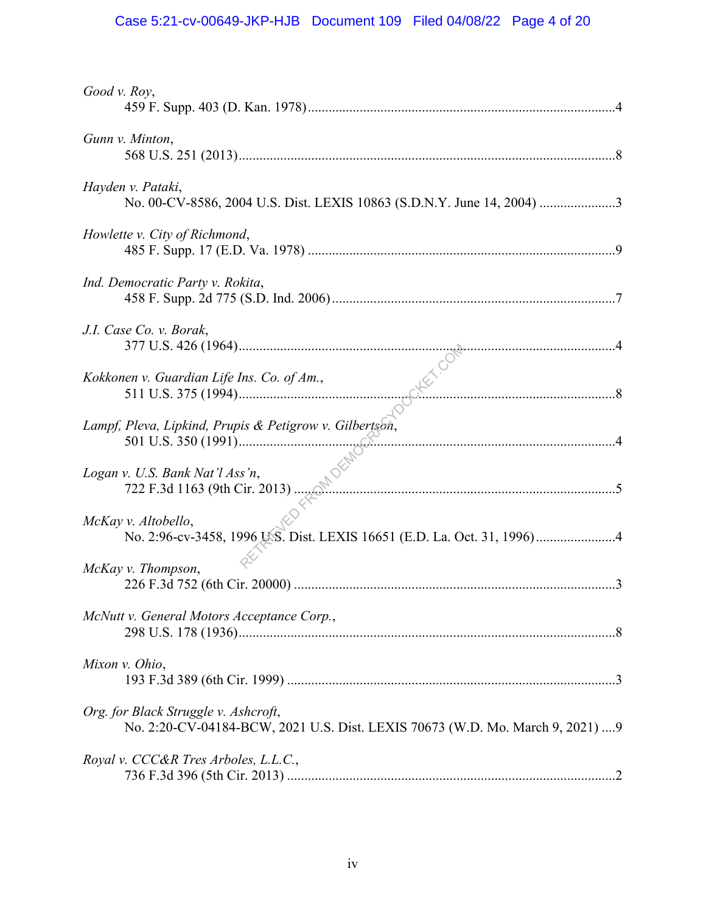# Case 5:21-cv-00649-JKP-HJB Document 109 Filed 04/08/22 Page 4 of 20

| Good v. Roy,                                                                                                           |
|------------------------------------------------------------------------------------------------------------------------|
| Gunn v. Minton,                                                                                                        |
| Hayden v. Pataki,<br>No. 00-CV-8586, 2004 U.S. Dist. LEXIS 10863 (S.D.N.Y. June 14, 2004) 3                            |
| Howlette v. City of Richmond,                                                                                          |
| Ind. Democratic Party v. Rokita,                                                                                       |
| J.I. Case Co. v. Borak,                                                                                                |
| Kokkonen v. Guardian Life Ins. Co. of Am.,                                                                             |
| Lampf, Pleva, Lipkind, Prupis & Petigrow v. Gilbertson,                                                                |
| Logan v. U.S. Bank Nat'l Ass'n,                                                                                        |
| McKay v. Altobello,                                                                                                    |
| McKay v. Thompson,                                                                                                     |
| McNutt v. General Motors Acceptance Corp.,                                                                             |
| Mixon v. Ohio,                                                                                                         |
| Org. for Black Struggle v. Ashcroft,<br>No. 2:20-CV-04184-BCW, 2021 U.S. Dist. LEXIS 70673 (W.D. Mo. March 9, 2021)  9 |
| Royal v. CCC&R Tres Arboles, L.L.C.,                                                                                   |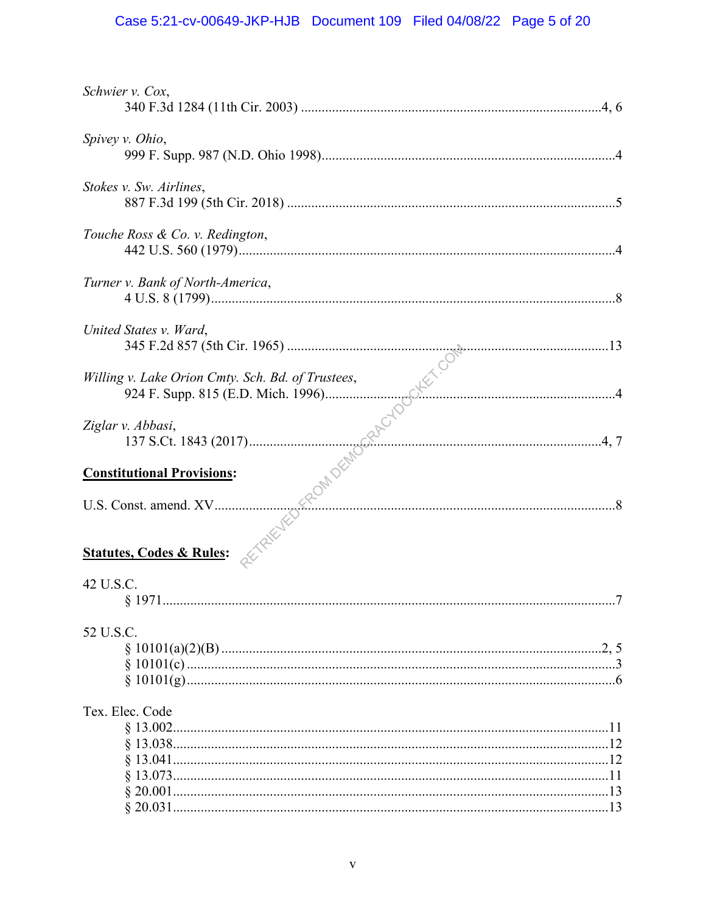# Case 5:21-cv-00649-JKP-HJB Document 109 Filed 04/08/22 Page 5 of 20

| Schwier v. Cox,                  |  |
|----------------------------------|--|
|                                  |  |
| Spivey v. Ohio,                  |  |
|                                  |  |
| Stokes v. Sw. Airlines,          |  |
|                                  |  |
| Touche Ross & Co. v. Redington,  |  |
|                                  |  |
| Turner v. Bank of North-America, |  |
|                                  |  |
| United States v. Ward,           |  |
|                                  |  |
|                                  |  |
|                                  |  |
|                                  |  |
|                                  |  |
|                                  |  |
|                                  |  |
|                                  |  |
|                                  |  |
|                                  |  |
|                                  |  |
|                                  |  |
|                                  |  |
|                                  |  |
| 42 U.S.C.                        |  |
| \$1971                           |  |
|                                  |  |
| 52 U.S.C.                        |  |
|                                  |  |
|                                  |  |
|                                  |  |
| Tex. Elec. Code                  |  |
|                                  |  |
|                                  |  |
|                                  |  |
|                                  |  |
|                                  |  |
|                                  |  |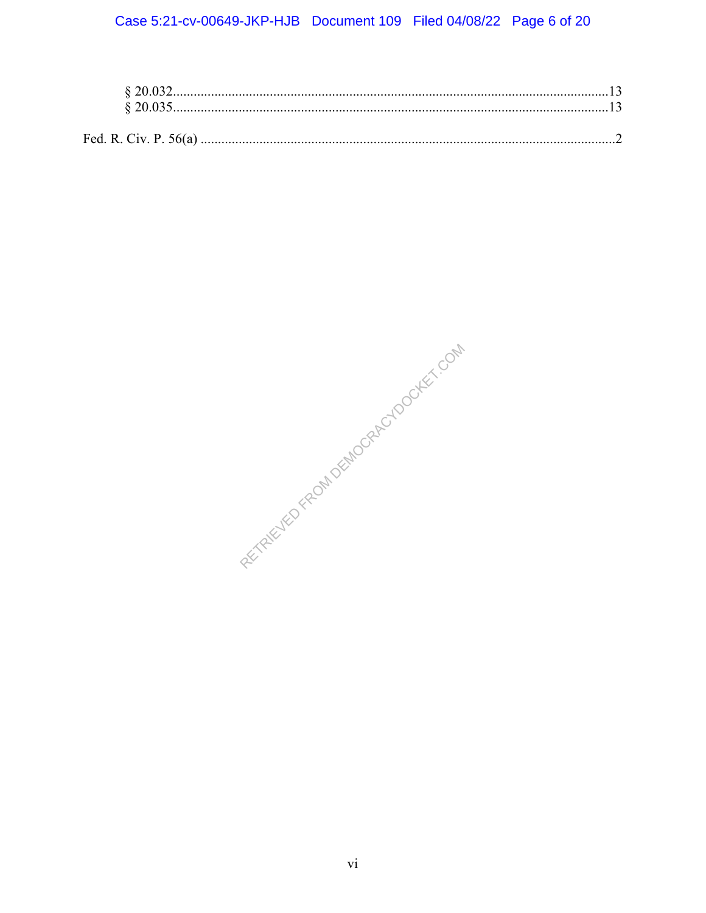## Case 5:21-cv-00649-JKP-HJB Document 109 Filed 04/08/22 Page 6 of 20

RELITED FROM DEMOCRACY OCKEY COM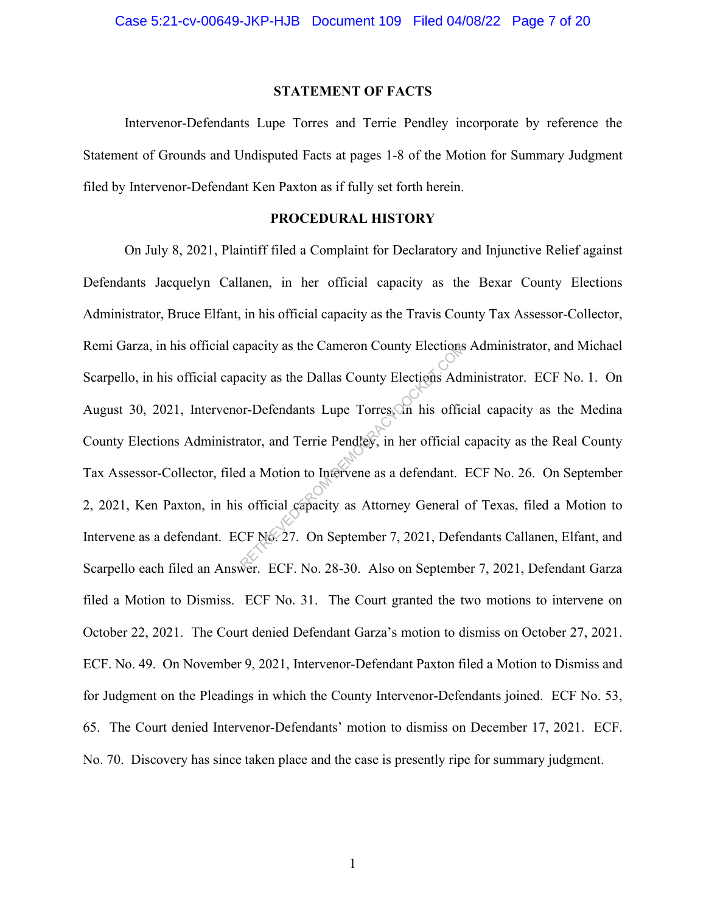#### **STATEMENT OF FACTS**

 Intervenor-Defendants Lupe Torres and Terrie Pendley incorporate by reference the Statement of Grounds and Undisputed Facts at pages 1-8 of the Motion for Summary Judgment filed by Intervenor-Defendant Ken Paxton as if fully set forth herein.

### **PROCEDURAL HISTORY**

On July 8, 2021, Plaintiff filed a Complaint for Declaratory and Injunctive Relief against Defendants Jacquelyn Callanen, in her official capacity as the Bexar County Elections Administrator, Bruce Elfant, in his official capacity as the Travis County Tax Assessor-Collector, Remi Garza, in his official capacity as the Cameron County Elections Administrator, and Michael Scarpello, in his official capacity as the Dallas County Elections Administrator. ECF No. 1. On August 30, 2021, Intervenor-Defendants Lupe Torres, in his official capacity as the Medina County Elections Administrator, and Terrie Pendley, in her official capacity as the Real County Tax Assessor-Collector, filed a Motion to Intervene as a defendant. ECF No. 26. On September 2, 2021, Ken Paxton, in his official capacity as Attorney General of Texas, filed a Motion to Intervene as a defendant. ECF No. 27. On September 7, 2021, Defendants Callanen, Elfant, and Scarpello each filed an Answer. ECF. No. 28-30. Also on September 7, 2021, Defendant Garza filed a Motion to Dismiss. ECF No. 31. The Court granted the two motions to intervene on October 22, 2021. The Court denied Defendant Garza's motion to dismiss on October 27, 2021. ECF. No. 49. On November 9, 2021, Intervenor-Defendant Paxton filed a Motion to Dismiss and for Judgment on the Pleadings in which the County Intervenor-Defendants joined. ECF No. 53, 65. The Court denied Intervenor-Defendants' motion to dismiss on December 17, 2021. ECF. No. 70. Discovery has since taken place and the case is presently ripe for summary judgment. apacity as the Cameron County Elections<br>acity as the Dallas County Elections Admonstractions Admonstrator, and Terrie Pendley, in her official<br>d a Motion to Intervene as a defendant.<br>s official capacity as Attorney General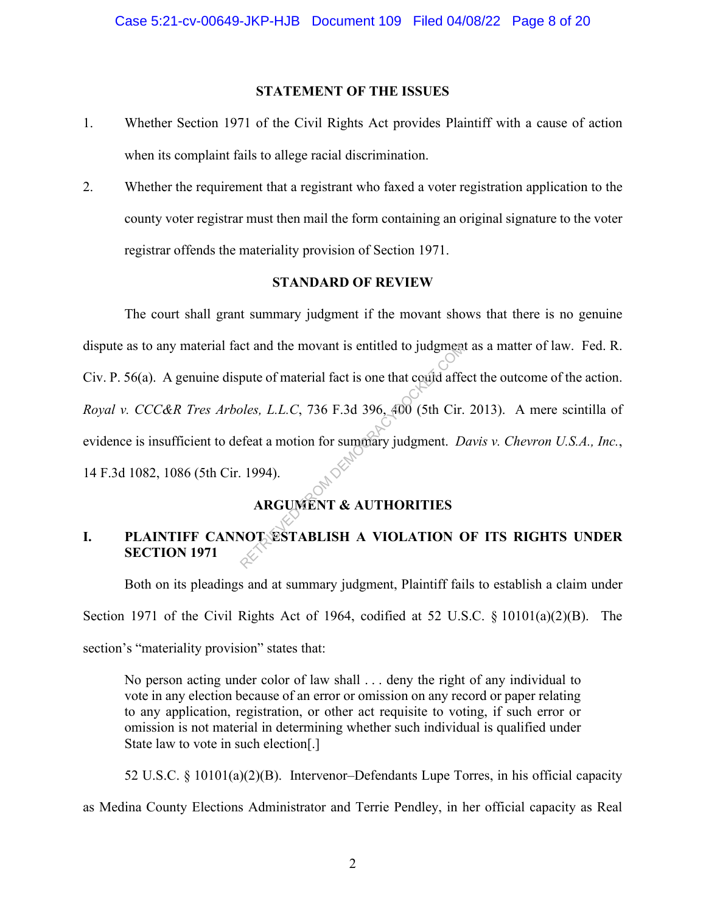#### **STATEMENT OF THE ISSUES**

- 1. Whether Section 1971 of the Civil Rights Act provides Plaintiff with a cause of action when its complaint fails to allege racial discrimination.
- 2. Whether the requirement that a registrant who faxed a voter registration application to the county voter registrar must then mail the form containing an original signature to the voter registrar offends the materiality provision of Section 1971.

## **STANDARD OF REVIEW**

The court shall grant summary judgment if the movant shows that there is no genuine dispute as to any material fact and the movant is entitled to judgment as a matter of law. Fed. R. Civ. P. 56(a). A genuine dispute of material fact is one that could affect the outcome of the action. *Royal v. CCC&R Tres Arboles, L.L.C*, 736 F.3d 396, 400 (5th Cir. 2013). A mere scintilla of evidence is insufficient to defeat a motion for summary judgment. *Davis v. Chevron U.S.A., Inc.*, 14 F.3d 1082, 1086 (5th Cir. 1994). Example of material fact is one that could affect<br>pute of material fact is one that could affect a motion for summary judgment. D<br>feat a motion for summary judgment. D<br>1994).<br>ARGUMENT & AUTHORITIES<br>NOT ESTABLISH A VIOLATIO

## **ARGUMENT & AUTHORITIES**

## **I. PLAINTIFF CANNOT ESTABLISH A VIOLATION OF ITS RIGHTS UNDER SECTION 1971**

Both on its pleadings and at summary judgment, Plaintiff fails to establish a claim under Section 1971 of the Civil Rights Act of 1964, codified at 52 U.S.C. § 10101(a)(2)(B). The section's "materiality provision" states that:

No person acting under color of law shall . . . deny the right of any individual to vote in any election because of an error or omission on any record or paper relating to any application, registration, or other act requisite to voting, if such error or omission is not material in determining whether such individual is qualified under State law to vote in such election[.]

52 U.S.C. § 10101(a)(2)(B). Intervenor–Defendants Lupe Torres, in his official capacity as Medina County Elections Administrator and Terrie Pendley, in her official capacity as Real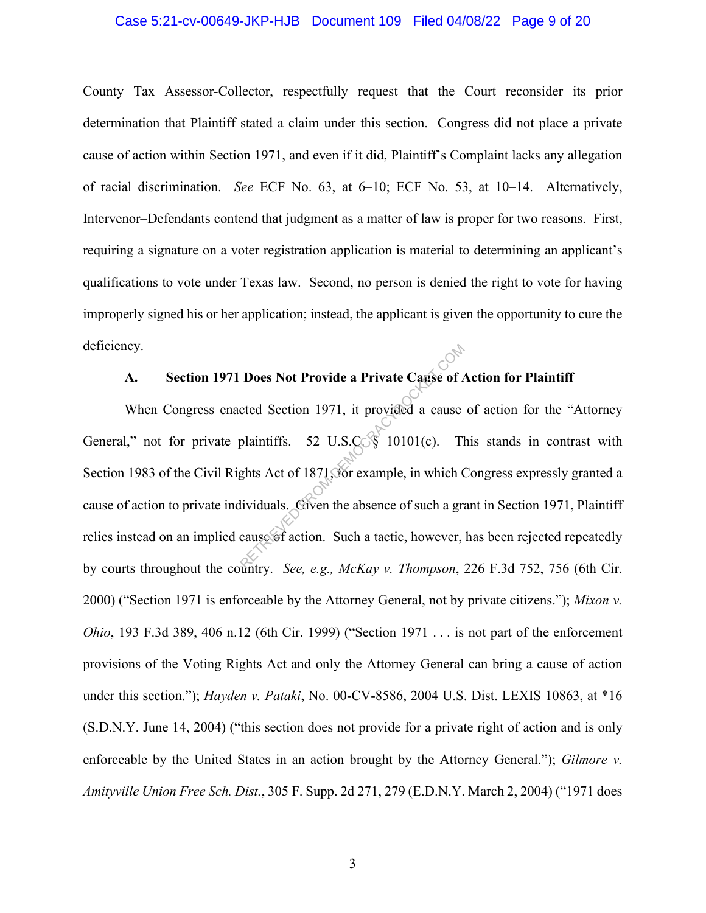#### Case 5:21-cv-00649-JKP-HJB Document 109 Filed 04/08/22 Page 9 of 20

County Tax Assessor-Collector, respectfully request that the Court reconsider its prior determination that Plaintiff stated a claim under this section. Congress did not place a private cause of action within Section 1971, and even if it did, Plaintiff's Complaint lacks any allegation of racial discrimination. *See* ECF No. 63, at 6–10; ECF No. 53, at 10–14. Alternatively, Intervenor–Defendants contend that judgment as a matter of law is proper for two reasons. First, requiring a signature on a voter registration application is material to determining an applicant's qualifications to vote under Texas law. Second, no person is denied the right to vote for having improperly signed his or her application; instead, the applicant is given the opportunity to cure the deficiency.

### **A. Section 1971 Does Not Provide a Private Cause of Action for Plaintiff**

When Congress enacted Section 1971, it provided a cause of action for the "Attorney General," not for private plaintiffs. 52 U.S.C.  $\frac{1}{3}$  10101(c). This stands in contrast with Section 1983 of the Civil Rights Act of 1871, for example, in which Congress expressly granted a cause of action to private individuals. Given the absence of such a grant in Section 1971, Plaintiff relies instead on an implied cause of action. Such a tactic, however, has been rejected repeatedly by courts throughout the country. *See, e.g., McKay v. Thompson*, 226 F.3d 752, 756 (6th Cir. 2000) ("Section 1971 is enforceable by the Attorney General, not by private citizens."); *Mixon v. Ohio*, 193 F.3d 389, 406 n.12 (6th Cir. 1999) ("Section 1971 . . . is not part of the enforcement provisions of the Voting Rights Act and only the Attorney General can bring a cause of action under this section."); *Hayden v. Pataki*, No. 00-CV-8586, 2004 U.S. Dist. LEXIS 10863, at \*16 (S.D.N.Y. June 14, 2004) ("this section does not provide for a private right of action and is only enforceable by the United States in an action brought by the Attorney General."); *Gilmore v. Amityville Union Free Sch. Dist.*, 305 F. Supp. 2d 271, 279 (E.D.N.Y. March 2, 2004) ("1971 does **Does Not Provide a Private Cause of A**<br>cted Section 1971, it provided a cause<br>plaintiffs. 52 U.S.Com 10101(c). The<br>ghts Act of 1871, for example, in which C<br>lividuals. Given the absence of such a graduate of action. Such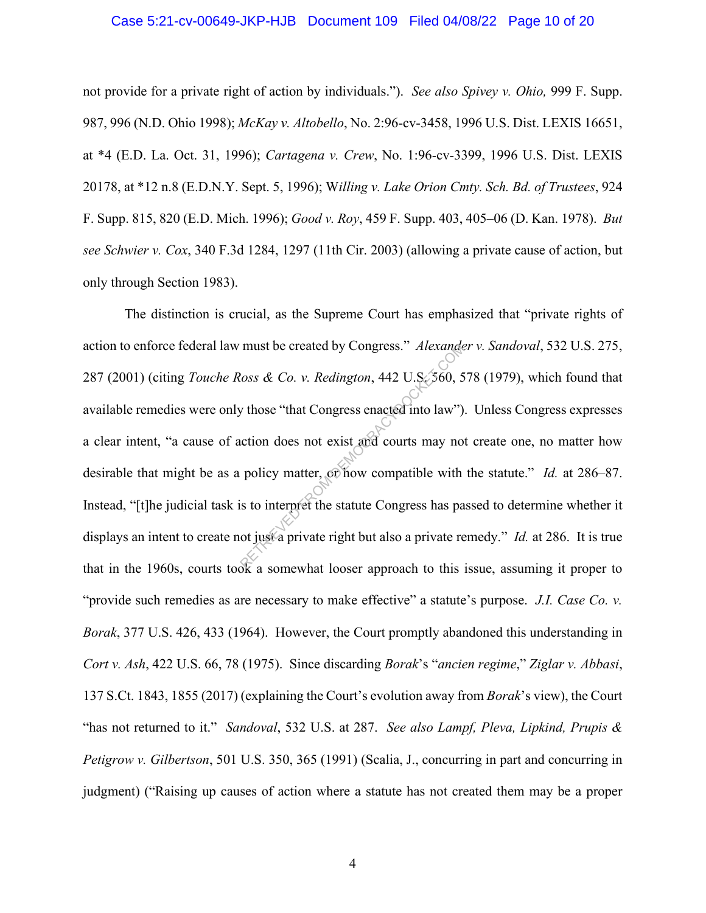## Case 5:21-cv-00649-JKP-HJB Document 109 Filed 04/08/22 Page 10 of 20

not provide for a private right of action by individuals."). *See also Spivey v. Ohio,* 999 F. Supp. 987, 996 (N.D. Ohio 1998); *McKay v. Altobello*, No. 2:96-cv-3458, 1996 U.S. Dist. LEXIS 16651, at \*4 (E.D. La. Oct. 31, 1996); *Cartagena v. Crew*, No. 1:96-cv-3399, 1996 U.S. Dist. LEXIS 20178, at \*12 n.8 (E.D.N.Y. Sept. 5, 1996); W*illing v. Lake Orion Cmty. Sch. Bd. of Trustees*, 924 F. Supp. 815, 820 (E.D. Mich. 1996); *Good v. Roy*, 459 F. Supp. 403, 405–06 (D. Kan. 1978). *But see Schwier v. Cox*, 340 F.3d 1284, 1297 (11th Cir. 2003) (allowing a private cause of action, but only through Section 1983).

The distinction is crucial, as the Supreme Court has emphasized that "private rights of action to enforce federal law must be created by Congress." *Alexander v. Sandoval*, 532 U.S. 275, 287 (2001) (citing *Touche Ross & Co. v. Redington*, 442 U.S. 560, 578 (1979), which found that available remedies were only those "that Congress enacted into law"). Unless Congress expresses a clear intent, "a cause of action does not exist and courts may not create one, no matter how desirable that might be as a policy matter, or how compatible with the statute." *Id.* at 286–87. Instead, "[t]he judicial task is to interpret the statute Congress has passed to determine whether it displays an intent to create not just a private right but also a private remedy." *Id.* at 286. It is true that in the 1960s, courts took a somewhat looser approach to this issue, assuming it proper to "provide such remedies as are necessary to make effective" a statute's purpose. *J.I. Case Co. v. Borak*, 377 U.S. 426, 433 (1964). However, the Court promptly abandoned this understanding in *Cort v. Ash*, 422 U.S. 66, 78 (1975). Since discarding *Borak*'s "*ancien regime*," *Ziglar v. Abbasi*, 137 S.Ct. 1843, 1855 (2017) (explaining the Court's evolution away from *Borak*'s view), the Court "has not returned to it." *Sandoval*, 532 U.S. at 287. *See also Lampf, Pleva, Lipkind, Prupis & Petigrow v. Gilbertson*, 501 U.S. 350, 365 (1991) (Scalia, J., concurring in part and concurring in judgment) ("Raising up causes of action where a statute has not created them may be a proper must be created by Congress." Alexander<br>
Retrieves Socks & Co. v. Redington, 442 U.S. 560, 5<br>
y those "that Congress enacted into law")<br>
action does not exist and courts may no<br>
policy matter, or how compatible with<br>
is to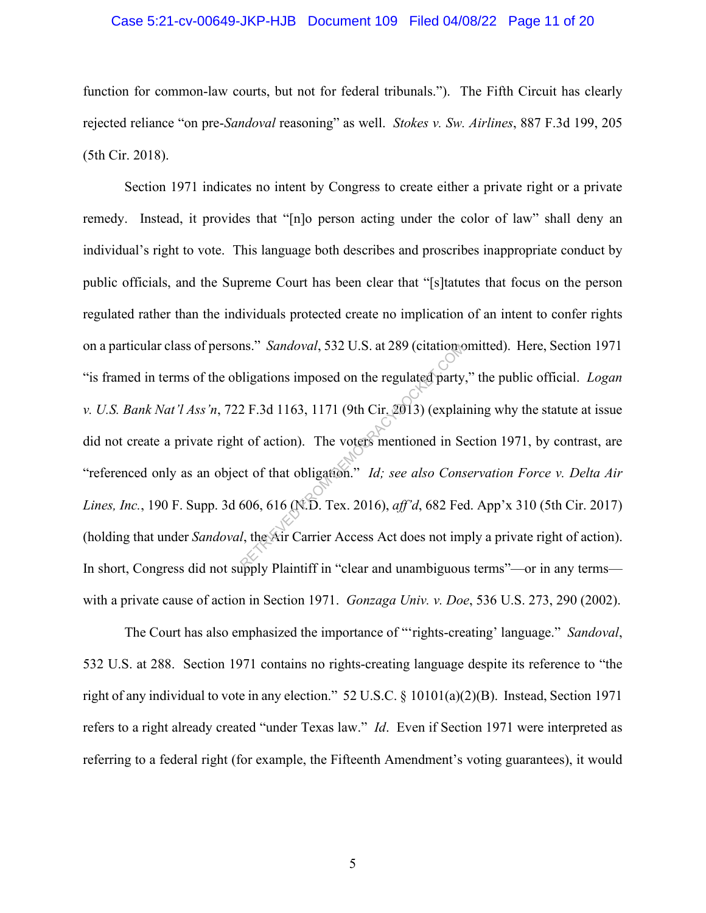#### Case 5:21-cv-00649-JKP-HJB Document 109 Filed 04/08/22 Page 11 of 20

function for common-law courts, but not for federal tribunals."). The Fifth Circuit has clearly rejected reliance "on pre-*Sandoval* reasoning" as well. *Stokes v. Sw. Airlines*, 887 F.3d 199, 205 (5th Cir. 2018).

Section 1971 indicates no intent by Congress to create either a private right or a private remedy. Instead, it provides that "[n]o person acting under the color of law" shall deny an individual's right to vote. This language both describes and proscribes inappropriate conduct by public officials, and the Supreme Court has been clear that "[s]tatutes that focus on the person regulated rather than the individuals protected create no implication of an intent to confer rights on a particular class of persons." *Sandoval*, 532 U.S. at 289 (citation omitted). Here, Section 1971 "is framed in terms of the obligations imposed on the regulated party," the public official. *Logan v. U.S. Bank Nat'l Ass'n*, 722 F.3d 1163, 1171 (9th Cir. 2013) (explaining why the statute at issue did not create a private right of action). The voters mentioned in Section 1971, by contrast, are "referenced only as an object of that obligation." *Id; see also Conservation Force v. Delta Air Lines, Inc.*, 190 F. Supp. 3d 606, 616 (N.D. Tex. 2016), *aff'd*, 682 Fed. App'x 310 (5th Cir. 2017) (holding that under *Sandoval*, the Air Carrier Access Act does not imply a private right of action). In short, Congress did not supply Plaintiff in "clear and unambiguous terms"—or in any terms with a private cause of action in Section 1971. *Gonzaga Univ. v. Doe*, 536 U.S. 273, 290 (2002). ms." Sandoval, 532 U.S. at 289 (citation)<br>
oligations imposed on the regulated party<br>
2 F.3d 1163, 1171 (9th Cir. 2013) (explaint of action). The voters mentioned in Sect of that obligation." *Id; see also Cons*<br>
606, 616

The Court has also emphasized the importance of "'rights-creating' language." *Sandoval*, 532 U.S. at 288. Section 1971 contains no rights-creating language despite its reference to "the right of any individual to vote in any election." 52 U.S.C. § 10101(a)(2)(B). Instead, Section 1971 refers to a right already created "under Texas law." *Id*. Even if Section 1971 were interpreted as referring to a federal right (for example, the Fifteenth Amendment's voting guarantees), it would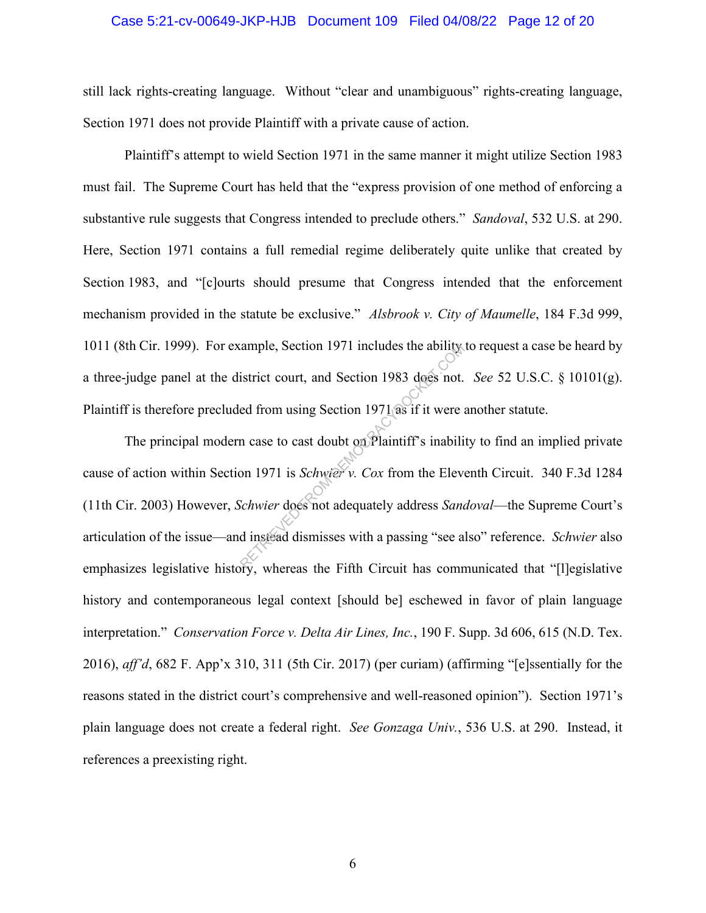#### Case 5:21-cv-00649-JKP-HJB Document 109 Filed 04/08/22 Page 12 of 20

still lack rights-creating language. Without "clear and unambiguous" rights-creating language, Section 1971 does not provide Plaintiff with a private cause of action.

Plaintiff's attempt to wield Section 1971 in the same manner it might utilize Section 1983 must fail. The Supreme Court has held that the "express provision of one method of enforcing a substantive rule suggests that Congress intended to preclude others." *Sandoval*, 532 U.S. at 290. Here, Section 1971 contains a full remedial regime deliberately quite unlike that created by Section 1983, and "[c]ourts should presume that Congress intended that the enforcement mechanism provided in the statute be exclusive." *Alsbrook v. City of Maumelle*, 184 F.3d 999, 1011 (8th Cir. 1999). For example, Section 1971 includes the ability to request a case be heard by a three-judge panel at the district court, and Section 1983 does not. *See* 52 U.S.C. § 10101(g). Plaintiff is therefore precluded from using Section 1971 as if it were another statute.

The principal modern case to cast doubt on Plaintiff's inability to find an implied private cause of action within Section 1971 is *Schwier v. Cox* from the Eleventh Circuit. 340 F.3d 1284 (11th Cir. 2003) However, *Schwier* does not adequately address *Sandoval*—the Supreme Court's articulation of the issue—and instead dismisses with a passing "see also" reference. *Schwier* also emphasizes legislative history, whereas the Fifth Circuit has communicated that "[l]egislative history and contemporaneous legal context [should be] eschewed in favor of plain language interpretation." *Conservation Force v. Delta Air Lines, Inc.*, 190 F. Supp. 3d 606, 615 (N.D. Tex. 2016), *aff'd*, 682 F. App'x 310, 311 (5th Cir. 2017) (per curiam) (affirming "[e]ssentially for the reasons stated in the district court's comprehensive and well-reasoned opinion"). Section 1971's plain language does not create a federal right. *See Gonzaga Univ.*, 536 U.S. at 290. Instead, it references a preexisting right. Example, Section 1971 includes the ability<br>istrict court, and Section 1983 does not.<br>ed from using Section 1971 as if it were a<br>in case to cast doubt on Plaintiff's inabili<br>ion 1971 is *Schwier* v. Cox from the Elever<br>Sch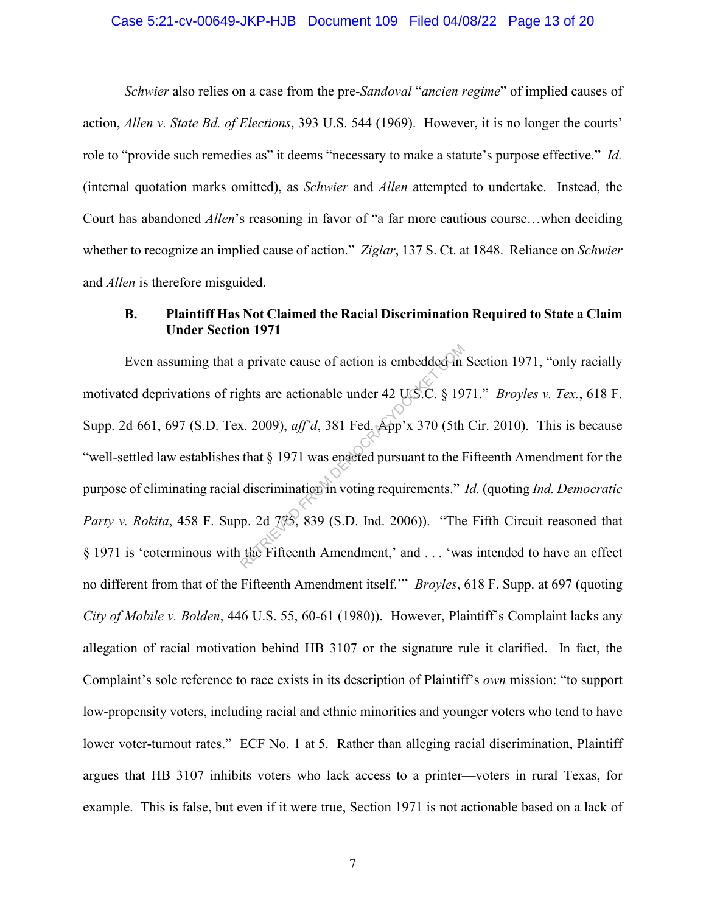#### Case 5:21-cv-00649-JKP-HJB Document 109 Filed 04/08/22 Page 13 of 20

*Schwier* also relies on a case from the pre-*Sandoval* "*ancien regime*" of implied causes of action, *Allen v. State Bd. of Elections*, 393 U.S. 544 (1969). However, it is no longer the courts' role to "provide such remedies as" it deems "necessary to make a statute's purpose effective." *Id.* (internal quotation marks omitted), as *Schwier* and *Allen* attempted to undertake. Instead, the Court has abandoned *Allen*'s reasoning in favor of "a far more cautious course…when deciding whether to recognize an implied cause of action." *Ziglar*, 137 S. Ct. at 1848. Reliance on *Schwier*  and *Allen* is therefore misguided.

## **B. Plaintiff Has Not Claimed the Racial Discrimination Required to State a Claim Under Section 1971**

Even assuming that a private cause of action is embedded in Section 1971, "only racially motivated deprivations of rights are actionable under 42 U.S.C. § 1971." *Broyles v. Tex.*, 618 F. Supp. 2d 661, 697 (S.D. Tex. 2009), *aff'd*, 381 Fed. App'x 370 (5th Cir. 2010). This is because "well-settled law establishes that § 1971 was enacted pursuant to the Fifteenth Amendment for the purpose of eliminating racial discrimination in voting requirements." *Id.* (quoting *Ind. Democratic Party v. Rokita*, 458 F. Supp. 2d 7%, 839 (S.D. Ind. 2006)). "The Fifth Circuit reasoned that § 1971 is 'coterminous with the Fifteenth Amendment,' and . . . 'was intended to have an effect no different from that of the Fifteenth Amendment itself.'" *Broyles*, 618 F. Supp. at 697 (quoting *City of Mobile v. Bolden*, 446 U.S. 55, 60-61 (1980)). However, Plaintiff's Complaint lacks any allegation of racial motivation behind HB 3107 or the signature rule it clarified. In fact, the Complaint's sole reference to race exists in its description of Plaintiff's *own* mission: "to support low-propensity voters, including racial and ethnic minorities and younger voters who tend to have lower voter-turnout rates." ECF No. 1 at 5. Rather than alleging racial discrimination, Plaintiff argues that HB 3107 inhibits voters who lack access to a printer—voters in rural Texas, for example. This is false, but even if it were true, Section 1971 is not actionable based on a lack of a private cause of action is embedded in<br>ghts are actionable under 42 US.C. § 19<br>x. 2009), *aff'd*, 381 Fed. App'x 370 (5th<br>that § 1971 was engleted pursuant to the I<br>discrimination in voting requirements."<br>p. 2d 7%, 839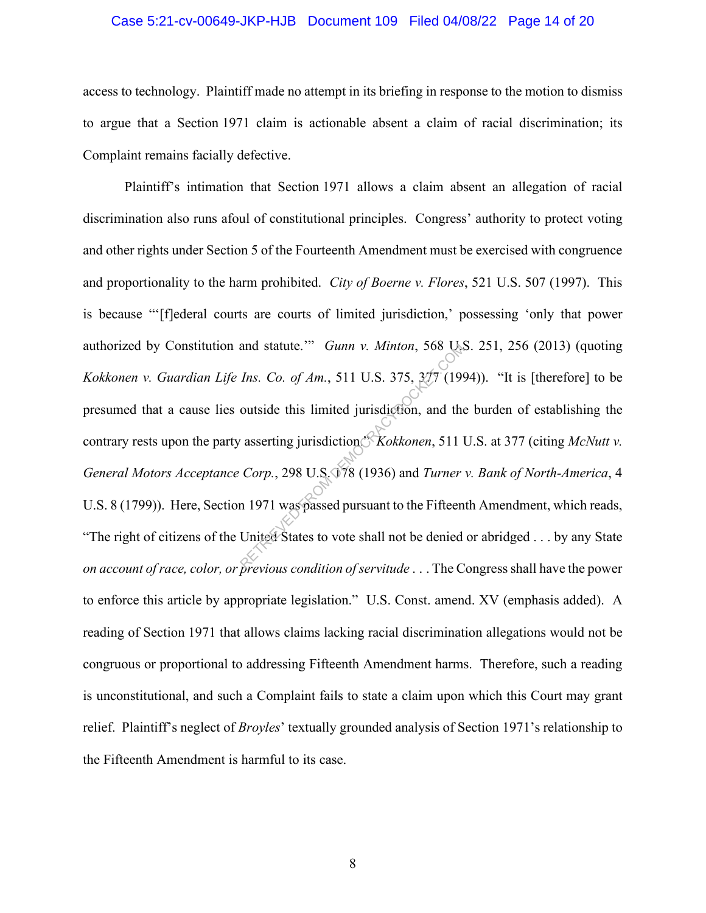#### Case 5:21-cv-00649-JKP-HJB Document 109 Filed 04/08/22 Page 14 of 20

access to technology. Plaintiff made no attempt in its briefing in response to the motion to dismiss to argue that a Section 1971 claim is actionable absent a claim of racial discrimination; its Complaint remains facially defective.

Plaintiff's intimation that Section 1971 allows a claim absent an allegation of racial discrimination also runs afoul of constitutional principles. Congress' authority to protect voting and other rights under Section 5 of the Fourteenth Amendment must be exercised with congruence and proportionality to the harm prohibited. *City of Boerne v. Flores*, 521 U.S. 507 (1997). This is because "'[f]ederal courts are courts of limited jurisdiction,' possessing 'only that power authorized by Constitution and statute.'" *Gunn v. Minton*, 568 U.S. 251, 256 (2013) (quoting *Kokkonen v. Guardian Life Ins. Co. of Am.*, 511 U.S. 375, 377 (1994)). "It is [therefore] to be presumed that a cause lies outside this limited jurisdiction, and the burden of establishing the contrary rests upon the party asserting jurisdiction.<sup>8</sup> *Kokkonen*, 511 U.S. at 377 (citing *McNutt v. General Motors Acceptance Corp.*, 298 U.S. 178 (1936) and *Turner v. Bank of North-America*, 4 U.S. 8 (1799)). Here, Section 1971 was passed pursuant to the Fifteenth Amendment, which reads, "The right of citizens of the United States to vote shall not be denied or abridged . . . by any State *on account of race, color, or previous condition of servitude* . . . The Congress shall have the power to enforce this article by appropriate legislation." U.S. Const. amend. XV (emphasis added). A reading of Section 1971 that allows claims lacking racial discrimination allegations would not be congruous or proportional to addressing Fifteenth Amendment harms. Therefore, such a reading is unconstitutional, and such a Complaint fails to state a claim upon which this Court may grant relief. Plaintiff's neglect of *Broyles*' textually grounded analysis of Section 1971's relationship to the Fifteenth Amendment is harmful to its case. and statute."" Gunn v. Minton, 568 Q.<br>
Ins. Co. of Am., 511 U.S. 375, 377 (199<br>
outside this limited jurisdiction, and the<br>
reserving jurisdiction." Kokkonen, 511 1<br>
Corp., 298 U.S. 078 (1936) and Turner<br>
n 1971 was passe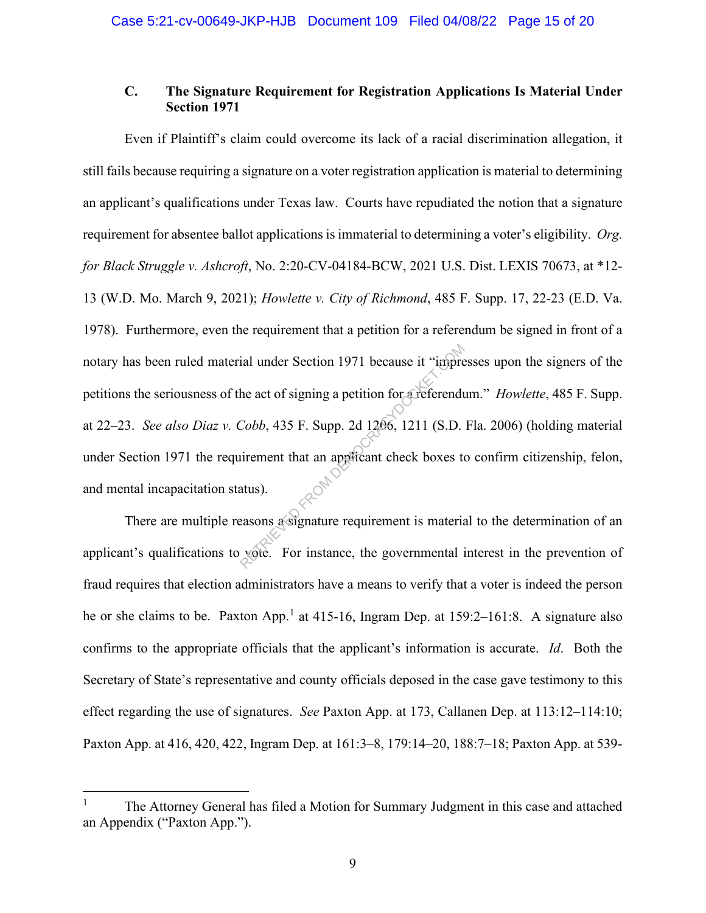## **C. The Signature Requirement for Registration Applications Is Material Under Section 1971**

Even if Plaintiff's claim could overcome its lack of a racial discrimination allegation, it still fails because requiring a signature on a voter registration application is material to determining an applicant's qualifications under Texas law. Courts have repudiated the notion that a signature requirement for absentee ballot applications is immaterial to determining a voter's eligibility. *Org. for Black Struggle v. Ashcroft*, No. 2:20-CV-04184-BCW, 2021 U.S. Dist. LEXIS 70673, at \*12- 13 (W.D. Mo. March 9, 2021); *Howlette v. City of Richmond*, 485 F. Supp. 17, 22-23 (E.D. Va. 1978). Furthermore, even the requirement that a petition for a referendum be signed in front of a notary has been ruled material under Section 1971 because it "impresses upon the signers of the petitions the seriousness of the act of signing a petition for a referendum." *Howlette*, 485 F. Supp. at 22–23. *See also Diaz v. Cobb*, 435 F. Supp. 2d 1206, 1211 (S.D. Fla. 2006) (holding material under Section 1971 the requirement that an applicant check boxes to confirm citizenship, felon, and mental incapacitation status). ial under Section 1971 because it "impretion for a referend<br>
Cobb, 435 F. Supp. 2d 1206, 1211 (S.D.<br>
uirement that an applicant check boxes to<br>
atus).<br>
easons a signature requirement is material<br>
vote. For instance, the go

There are multiple reasons a signature requirement is material to the determination of an applicant's qualifications to vote. For instance, the governmental interest in the prevention of fraud requires that election administrators have a means to verify that a voter is indeed the person he or she claims to be. Paxton App.<sup>1</sup> at 415-16, Ingram Dep. at 159:2–161:8. A signature also confirms to the appropriate officials that the applicant's information is accurate. *Id*. Both the Secretary of State's representative and county officials deposed in the case gave testimony to this effect regarding the use of signatures. *See* Paxton App. at 173, Callanen Dep. at 113:12–114:10; Paxton App. at 416, 420, 422, Ingram Dep. at 161:3–8, 179:14–20, 188:7–18; Paxton App. at 539-

<sup>1</sup> The Attorney General has filed a Motion for Summary Judgment in this case and attached an Appendix ("Paxton App.").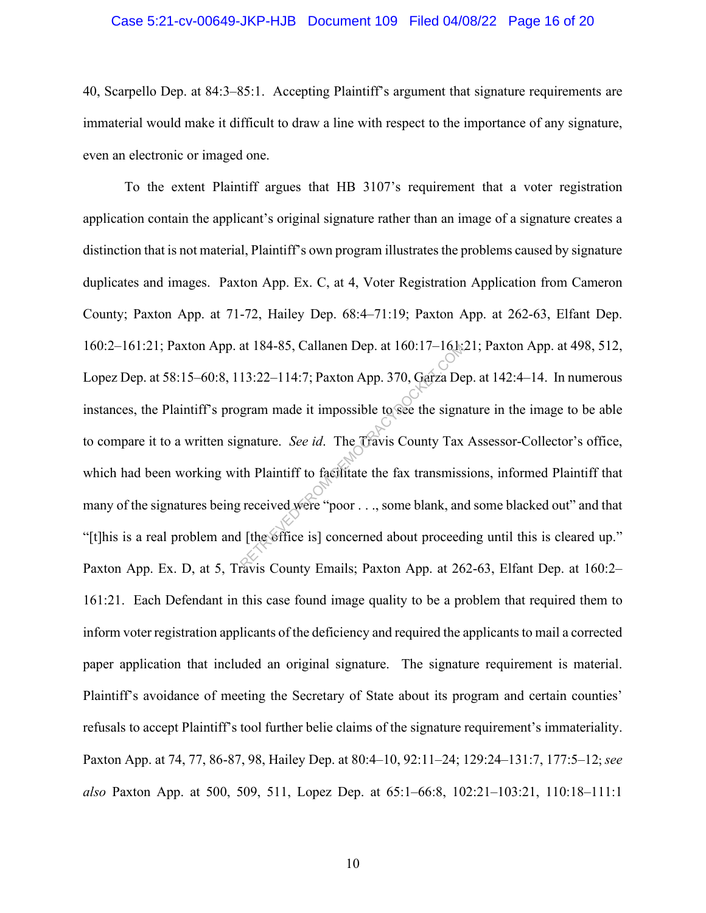#### Case 5:21-cv-00649-JKP-HJB Document 109 Filed 04/08/22 Page 16 of 20

40, Scarpello Dep. at 84:3–85:1. Accepting Plaintiff's argument that signature requirements are immaterial would make it difficult to draw a line with respect to the importance of any signature, even an electronic or imaged one.

To the extent Plaintiff argues that HB 3107's requirement that a voter registration application contain the applicant's original signature rather than an image of a signature creates a distinction that is not material, Plaintiff's own program illustrates the problems caused by signature duplicates and images. Paxton App. Ex. C, at 4, Voter Registration Application from Cameron County; Paxton App. at 71-72, Hailey Dep. 68:4–71:19; Paxton App. at 262-63, Elfant Dep. 160:2–161:21; Paxton App. at 184-85, Callanen Dep. at 160:17–161:21; Paxton App. at 498, 512, Lopez Dep. at 58:15–60:8, 113:22–114:7; Paxton App. 370, Garza Dep. at 142:4–14. In numerous instances, the Plaintiff's program made it impossible to see the signature in the image to be able to compare it to a written signature. *See id*. The Travis County Tax Assessor-Collector's office, which had been working with Plaintiff to facilitate the fax transmissions, informed Plaintiff that many of the signatures being received were "poor . . ., some blank, and some blacked out" and that "[t]his is a real problem and [the office is] concerned about proceeding until this is cleared up." Paxton App. Ex. D, at 5, Travis County Emails; Paxton App. at 262-63, Elfant Dep. at 160:2– 161:21. Each Defendant in this case found image quality to be a problem that required them to inform voter registration applicants of the deficiency and required the applicants to mail a corrected paper application that included an original signature. The signature requirement is material. Plaintiff's avoidance of meeting the Secretary of State about its program and certain counties' refusals to accept Plaintiff's tool further belie claims of the signature requirement's immateriality. Paxton App. at 74, 77, 86-87, 98, Hailey Dep. at 80:4–10, 92:11–24; 129:24–131:7, 177:5–12; *see also* Paxton App. at 500, 509, 511, Lopez Dep. at 65:1–66:8, 102:21–103:21, 110:18–111:1 at 184-85, Callanen Dep. at 160:17–161.<br>
13:22–114:7; Paxton App. 370, Garza De<br>
gram made it impossible to see the signa<br>
gnature. *See id*. The Travis County Tax<br>
th Plaintiff to facilitate the fax transmiss<br>
received we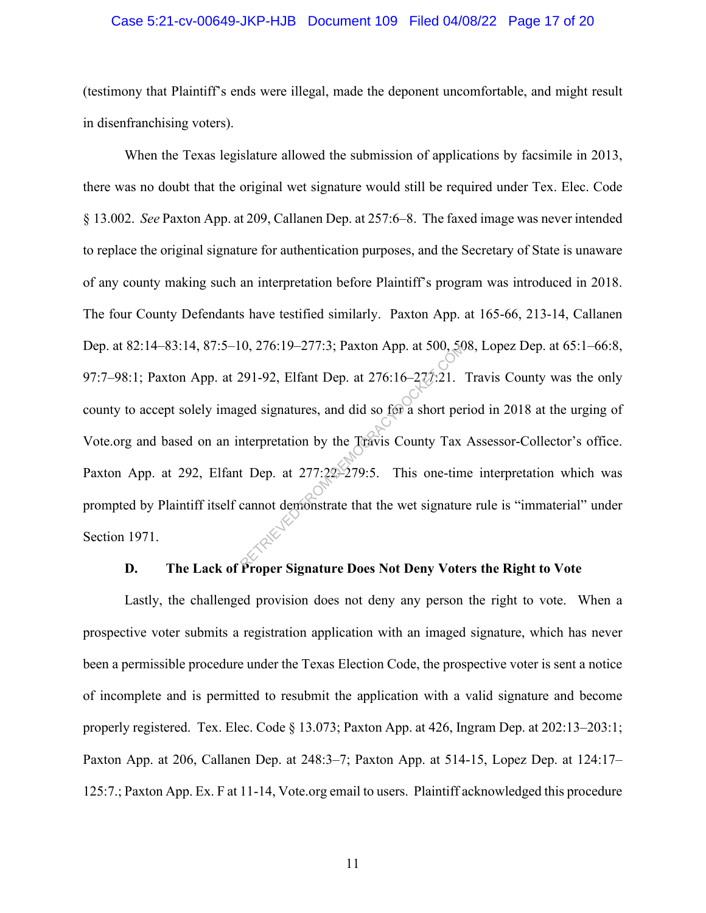#### Case 5:21-cv-00649-JKP-HJB Document 109 Filed 04/08/22 Page 17 of 20

(testimony that Plaintiff's ends were illegal, made the deponent uncomfortable, and might result in disenfranchising voters).

When the Texas legislature allowed the submission of applications by facsimile in 2013, there was no doubt that the original wet signature would still be required under Tex. Elec. Code § 13.002. *See* Paxton App. at 209, Callanen Dep. at 257:6–8. The faxed image was never intended to replace the original signature for authentication purposes, and the Secretary of State is unaware of any county making such an interpretation before Plaintiff's program was introduced in 2018. The four County Defendants have testified similarly. Paxton App. at 165-66, 213-14, Callanen Dep. at 82:14–83:14, 87:5–10, 276:19–277:3; Paxton App. at 500, 508, Lopez Dep. at 65:1–66:8, 97:7–98:1; Paxton App. at 291-92, Elfant Dep. at 276:16–277:21. Travis County was the only county to accept solely imaged signatures, and did so for a short period in 2018 at the urging of Vote.org and based on an interpretation by the Travis County Tax Assessor-Collector's office. Paxton App. at 292, Elfant Dep. at 277:22–279:5. This one-time interpretation which was prompted by Plaintiff itself cannot demonstrate that the wet signature rule is "immaterial" under Section 1971. 0, 276:19-277:3; Paxton App. at 500, 36<br>291-92, Elfant Dep. at 276:16-277:21.<br>ged signatures, and did so for a short per<br>nterpretation by the Travis County Tax<br>t Dep. at 277:22-279:5. This one-time<br>cannot demonstrate that

## **D. The Lack of Proper Signature Does Not Deny Voters the Right to Vote**

Lastly, the challenged provision does not deny any person the right to vote. When a prospective voter submits a registration application with an imaged signature, which has never been a permissible procedure under the Texas Election Code, the prospective voter is sent a notice of incomplete and is permitted to resubmit the application with a valid signature and become properly registered. Tex. Elec. Code § 13.073; Paxton App. at 426, Ingram Dep. at 202:13–203:1; Paxton App. at 206, Callanen Dep. at 248:3–7; Paxton App. at 514-15, Lopez Dep. at 124:17– 125:7.; Paxton App. Ex. F at 11-14, Vote.org email to users. Plaintiff acknowledged this procedure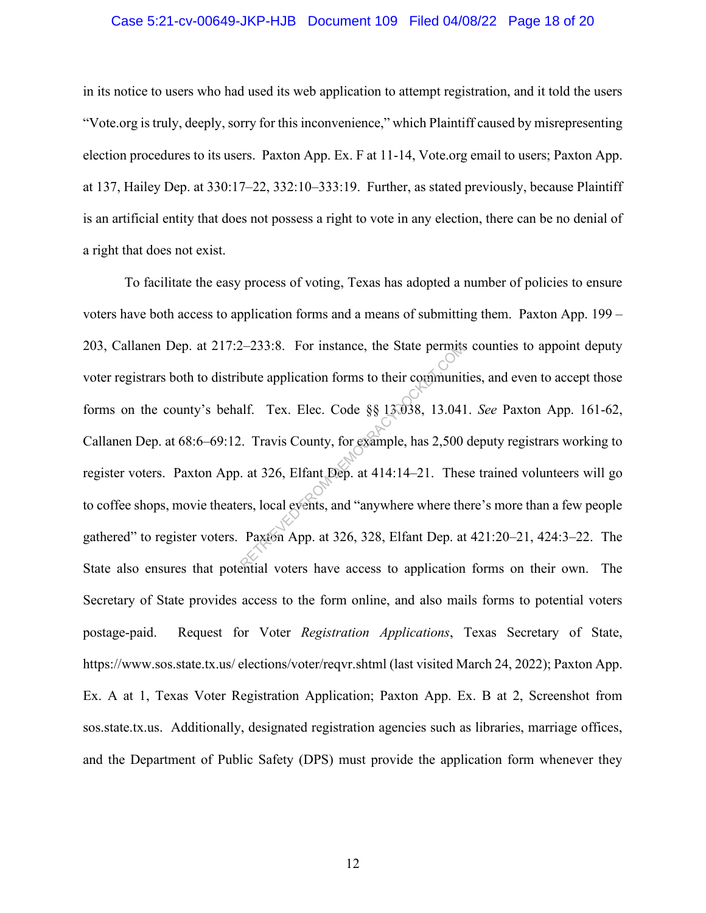#### Case 5:21-cv-00649-JKP-HJB Document 109 Filed 04/08/22 Page 18 of 20

in its notice to users who had used its web application to attempt registration, and it told the users "Vote.org is truly, deeply, sorry for this inconvenience," which Plaintiff caused by misrepresenting election procedures to its users. Paxton App. Ex. F at 11-14, Vote.org email to users; Paxton App. at 137, Hailey Dep. at 330:17–22, 332:10–333:19. Further, as stated previously, because Plaintiff is an artificial entity that does not possess a right to vote in any election, there can be no denial of a right that does not exist.

To facilitate the easy process of voting, Texas has adopted a number of policies to ensure voters have both access to application forms and a means of submitting them. Paxton App. 199 – 203, Callanen Dep. at 217:2–233:8. For instance, the State permits counties to appoint deputy voter registrars both to distribute application forms to their communities, and even to accept those forms on the county's behalf. Tex. Elec. Code §§ 13.038, 13.041. *See* Paxton App. 161-62, Callanen Dep. at 68:6–69:12. Travis County, for example, has 2,500 deputy registrars working to register voters. Paxton App. at 326, Elfant Dep. at 414:14–21. These trained volunteers will go to coffee shops, movie theaters, local events, and "anywhere where there's more than a few people gathered" to register voters. Paxton App. at 326, 328, Elfant Dep. at 421:20–21, 424:3–22. The State also ensures that potential voters have access to application forms on their own. The Secretary of State provides access to the form online, and also mails forms to potential voters postage-paid. Request for Voter *Registration Applications*, Texas Secretary of State, https://www.sos.state.tx.us/ elections/voter/reqvr.shtml (last visited March 24, 2022); Paxton App. Ex. A at 1, Texas Voter Registration Application; Paxton App. Ex. B at 2, Screenshot from sos.state.tx.us. Additionally, designated registration agencies such as libraries, marriage offices, and the Department of Public Safety (DPS) must provide the application form whenever they 2–233:8. For instance, the State permits<br>bute application forms to their communit<br>alf. Tex. Elec. Code  $\S$  13.038, 13.041<br>2. Travis County, for example, has 2,500<br>at 326, Elfant Dep. at 414:14–21. The<br>ers, local events, a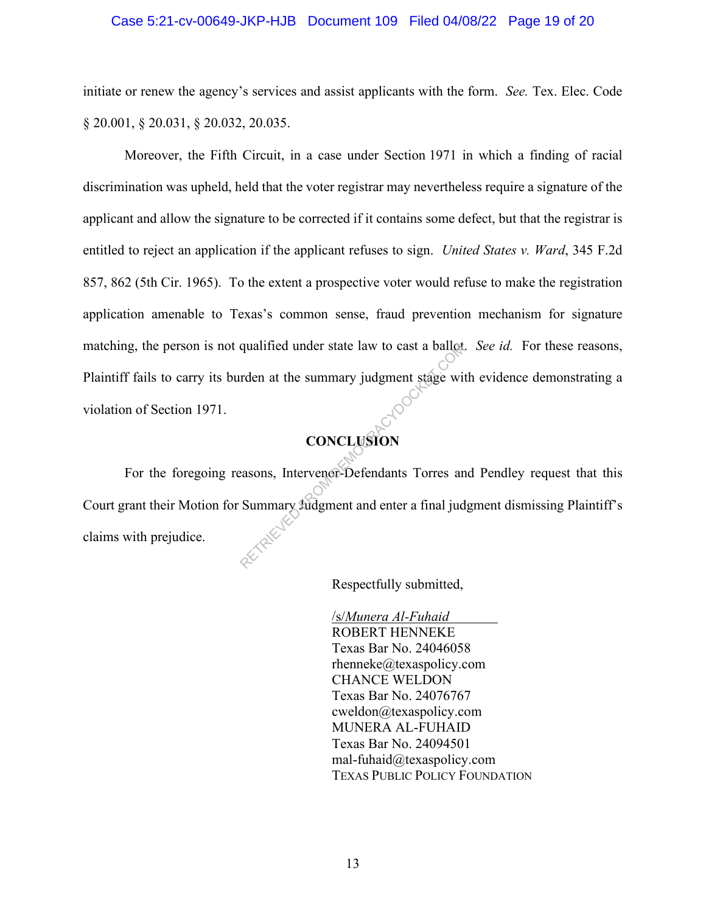#### Case 5:21-cv-00649-JKP-HJB Document 109 Filed 04/08/22 Page 19 of 20

initiate or renew the agency's services and assist applicants with the form. *See.* Tex. Elec. Code § 20.001, § 20.031, § 20.032, 20.035.

Moreover, the Fifth Circuit, in a case under Section 1971 in which a finding of racial discrimination was upheld, held that the voter registrar may nevertheless require a signature of the applicant and allow the signature to be corrected if it contains some defect, but that the registrar is entitled to reject an application if the applicant refuses to sign. *United States v. Ward*, 345 F.2d 857, 862 (5th Cir. 1965). To the extent a prospective voter would refuse to make the registration application amenable to Texas's common sense, fraud prevention mechanism for signature matching, the person is not qualified under state law to cast a ballot. *See id.* For these reasons, Plaintiff fails to carry its burden at the summary judgment stage with evidence demonstrating a violation of Section 1971.

# **CONCLUSION**

For the foregoing reasons, Intervenor-Defendants Torres and Pendley request that this Court grant their Motion for Summary Judgment and enter a final judgment dismissing Plaintiff's claims with prejudice. qualitied under state law to cast a ballot<br>rden at the summary judgment stage wire<br>CONCLUSION<br>easons, Intervence-Defendants Torres are<br>Summary Judgment and enter a final judgment and enter a final judgment

Respectfully submitted,

 /s/*Munera Al-Fuhaid* ROBERT HENNEKE Texas Bar No. 24046058 rhenneke@texaspolicy.com CHANCE WELDON Texas Bar No. 24076767 cweldon@texaspolicy.com MUNERA AL-FUHAID Texas Bar No. 24094501 mal-fuhaid@texaspolicy.com TEXAS PUBLIC POLICY FOUNDATION